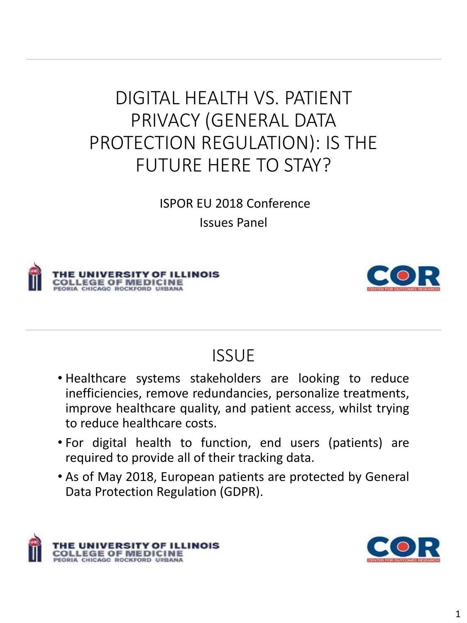# DIGITAL HEALTH VS. PATIENT PRIVACY (GENERAL DATA PROTECTION REGULATION): IS THE FUTURE HERE TO STAY?

ISPOR EU 2018 Conference Issues Panel





#### **ISSUE**

- Healthcare systems stakeholders are looking to reduce inefficiencies, remove redundancies, personalize treatments, improve healthcare quality, and patient access, whilst trying to reduce healthcare costs.
- For digital health to function, end users (patients) are required to provide all of their tracking data.
- As of May 2018, European patients are protected by General Data Protection Regulation (GDPR).



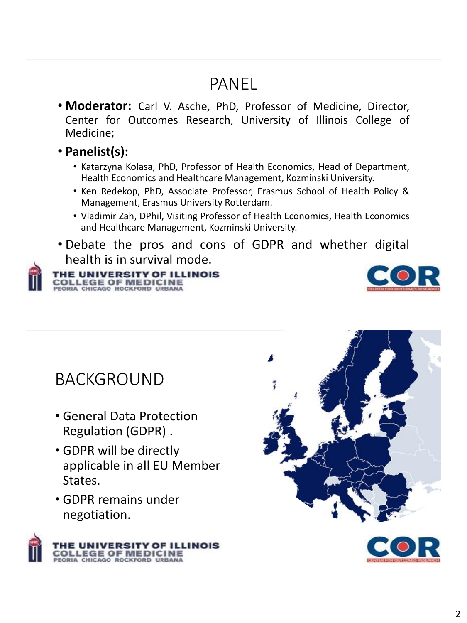## PANEL

- **Moderator:** Carl V. Asche, PhD, Professor of Medicine, Director, Center for Outcomes Research, University of Illinois College of Medicine;
- **Panelist(s):**
	- Katarzyna Kolasa, PhD, Professor of Health Economics, Head of Department, Health Economics and Healthcare Management, Kozminski University.
	- Ken Redekop, PhD, Associate Professor, Erasmus School of Health Policy & Management, Erasmus University Rotterdam.
	- Vladimir Zah, DPhil, Visiting Professor of Health Economics, Health Economics and Healthcare Management, Kozminski University.
- Debate the pros and cons of GDPR and whether digital health is in survival mode.



#### THE UNIVERSITY OF ILLINOIS **COLLEGE OF MEDICINE**<br>PEORIA CHICAGO ROCKFORD URBANA



#### BACKGROUND

- General Data Protection Regulation (GDPR) .
- GDPR will be directly applicable in all EU Member States.
- GDPR remains under negotiation.





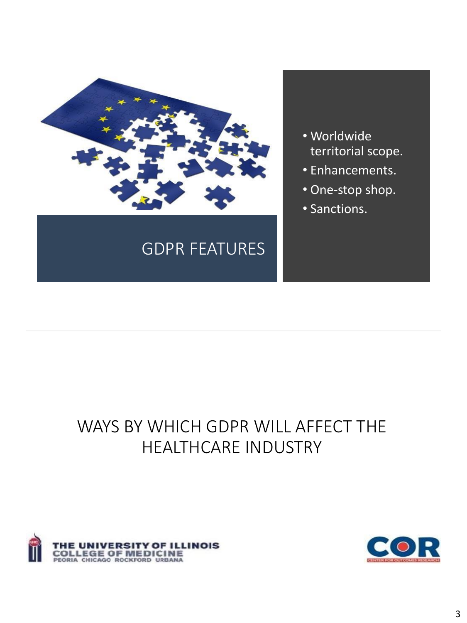

### GDPR FEATURES

- Worldwide territorial scope.
- Enhancements.
- One-stop shop.
- Sanctions.

### WAYS BY WHICH GDPR WILL AFFECT THE HEALTHCARE INDUSTRY



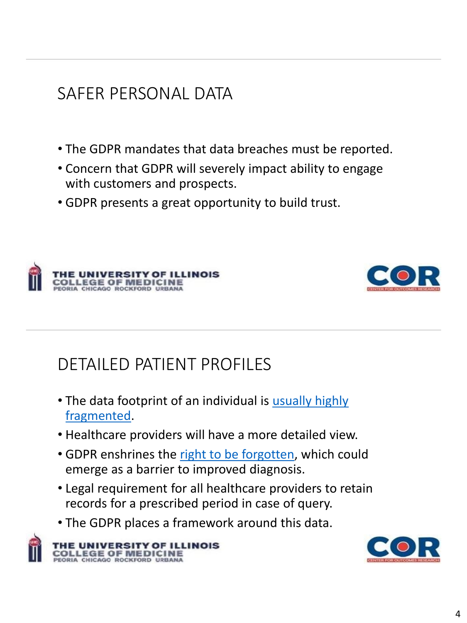# SAFER PERSONAL DATA

- The GDPR mandates that data breaches must be reported.
- Concern that GDPR will severely impact ability to engage with customers and prospects.
- GDPR presents a great opportunity to build trust.





# DETAILED PATIENT PROFILES

- [The data footprint of an individual is](https://www.futurehealthindex.com/2017/10/23/challenges-wearable-data-health-records/) usually highly fragmented.
- Healthcare providers will have a more detailed view.
- GDPR enshrines the [right to be forgotten](https://gdpr-info.eu/art-17-gdpr/), which could emerge as a barrier to improved diagnosis.
- Legal requirement for all healthcare providers to retain records for a prescribed period in case of query.
- The GDPR places a framework around this data.



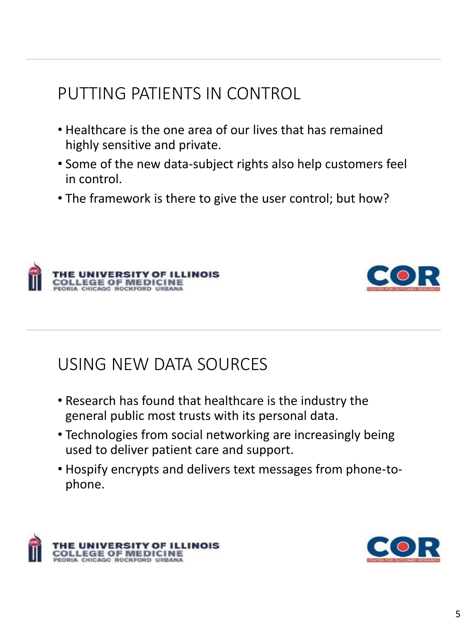# PUTTING PATIENTS IN CONTROL

- Healthcare is the one area of our lives that has remained highly sensitive and private.
- Some of the new data-subject rights also help customers feel in control.
- The framework is there to give the user control; but how?





#### USING NEW DATA SOURCES

- Research has found that healthcare is the industry the general public most trusts with its personal data.
- Technologies from social networking are increasingly being used to deliver patient care and support.
- Hospify encrypts and delivers text messages from phone-tophone.